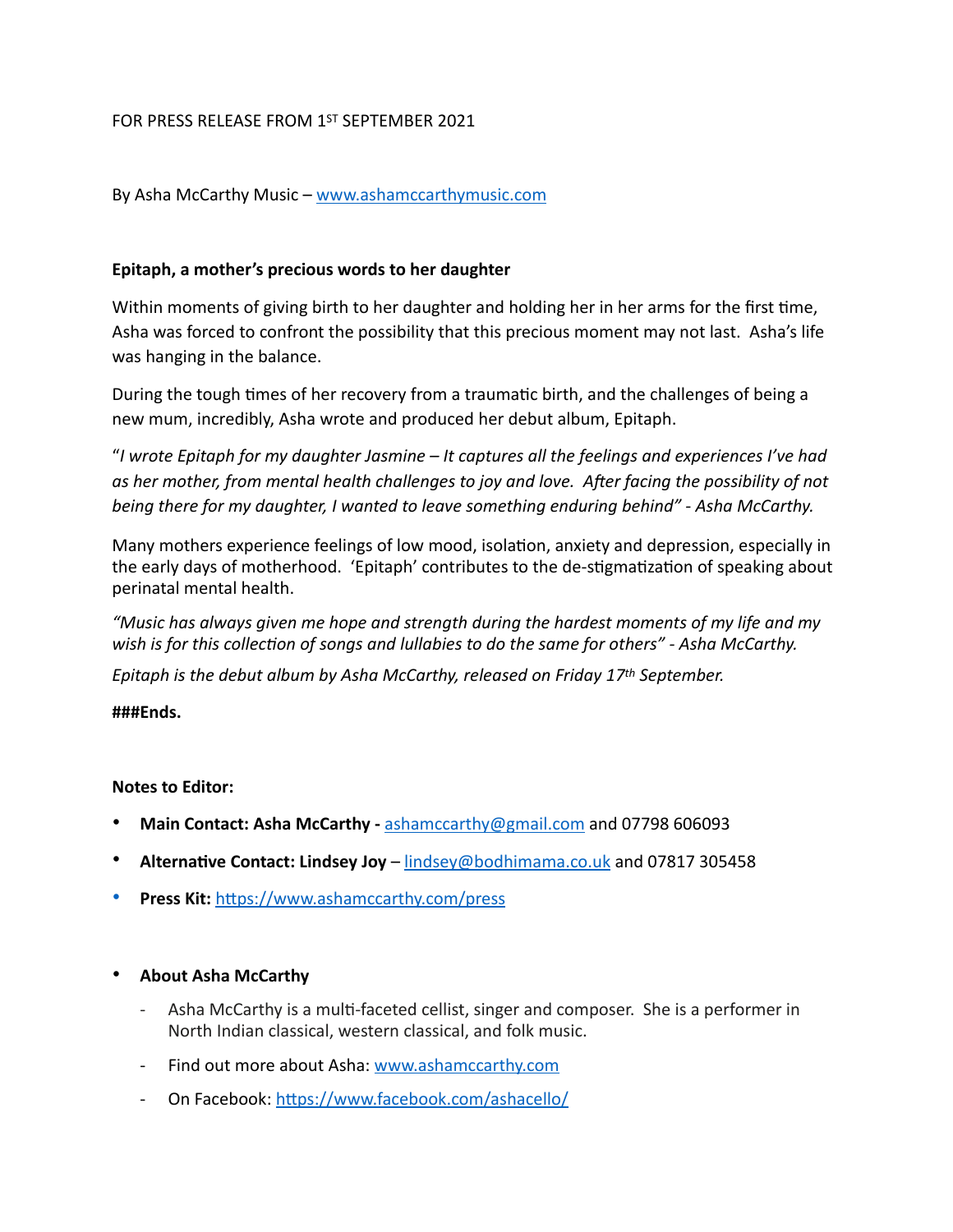## FOR PRESS RELEASE FROM 1ST SEPTEMBER 2021

By Asha McCarthy Music – [www.ashamccarthymusic.com](http://www.ashamccarthymusic.com)

## **Epitaph, a mother's precious words to her daughter**

Within moments of giving birth to her daughter and holding her in her arms for the first time, Asha was forced to confront the possibility that this precious moment may not last. Asha's life was hanging in the balance.

During the tough times of her recovery from a traumatic birth, and the challenges of being a new mum, incredibly, Asha wrote and produced her debut album, Epitaph.

"*I wrote Epitaph for my daughter Jasmine – It captures all the feelings and experiences I've had*  as her mother, from mental health challenges to joy and love. After facing the possibility of not *being there for my daughter, I wanted to leave something enduring behind" - Asha McCarthy.*

Many mothers experience feelings of low mood, isolation, anxiety and depression, especially in the early days of motherhood. 'Epitaph' contributes to the de-stigmatization of speaking about perinatal mental health.

*"Music has always given me hope and strength during the hardest moments of my life and my*  wish is for this collection of songs and lullabies to do the same for others" - Asha McCarthy.

*Epitaph is the debut album by Asha McCarthy, released on Friday 17th September.*

#### **###Ends.**

#### **Notes to Editor:**

- **Main Contact: Asha McCarthy** [ashamccarthy@gmail.com](mailto:ashamccarthy@gmail.com) and 07798 606093
- **Alterna?ve Contact: Lindsey Joy** [lindsey@bodhimama.co.uk](mailto:lindsey@bodhimama.co.uk) and 07817 305458
- **Press Kit: https://www.ashamccarthy.com/press**

#### • **About Asha McCarthy**

- Asha McCarthy is a multi-faceted cellist, singer and composer. She is a performer in North Indian classical, western classical, and folk music.
- Find out more about Asha: [www.ashamccarthy.com](http://www.ashamccarthy.com)
- On Facebook: https://www.facebook.com/ashacello/